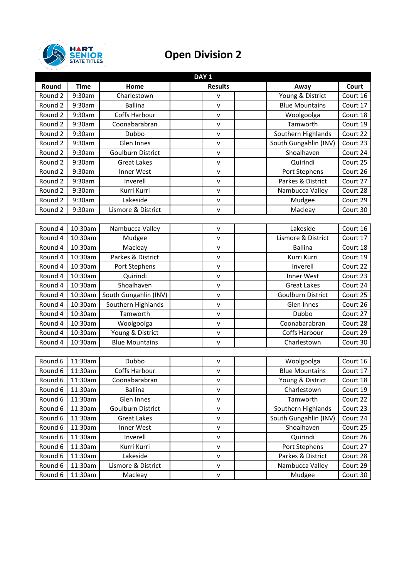

## **Open Division 2**

| DAY <sub>1</sub> |             |                          |  |                    |  |                          |          |
|------------------|-------------|--------------------------|--|--------------------|--|--------------------------|----------|
| Round            | <b>Time</b> | Home                     |  | <b>Results</b>     |  | Away                     | Court    |
| Round 2          | 9:30am      | Charlestown              |  | v                  |  | Young & District         | Court 16 |
| Round 2          | 9:30am      | <b>Ballina</b>           |  | $\mathsf{v}$       |  | <b>Blue Mountains</b>    | Court 17 |
| Round 2          | 9:30am      | Coffs Harbour            |  | v                  |  | Woolgoolga               | Court 18 |
| Round 2          | 9:30am      | Coonabarabran            |  | V                  |  | Tamworth                 | Court 19 |
| Round 2          | 9:30am      | Dubbo                    |  | v                  |  | Southern Highlands       | Court 22 |
| Round 2          | 9:30am      | Glen Innes               |  | $\mathsf{v}$       |  | South Gungahlin (INV)    | Court 23 |
| Round 2          | 9:30am      | <b>Goulburn District</b> |  | $\mathsf{v}$       |  | Shoalhaven               | Court 24 |
| Round 2          | 9:30am      | <b>Great Lakes</b>       |  | v                  |  | Quirindi                 | Court 25 |
| Round 2          | 9:30am      | Inner West               |  | $\pmb{\mathsf{V}}$ |  | Port Stephens            | Court 26 |
| Round 2          | 9:30am      | Inverell                 |  | v                  |  | Parkes & District        | Court 27 |
| Round 2          | 9:30am      | Kurri Kurri              |  | v                  |  | Nambucca Valley          | Court 28 |
| Round 2          | 9:30am      | Lakeside                 |  | $\mathsf{v}$       |  | Mudgee                   | Court 29 |
| Round 2          | 9:30am      | Lismore & District       |  | v                  |  | Macleay                  | Court 30 |
|                  |             |                          |  |                    |  |                          |          |
| Round 4          | 10:30am     | Nambucca Valley          |  | $\mathsf{V}$       |  | Lakeside                 | Court 16 |
| Round 4          | 10:30am     | Mudgee                   |  | $\mathsf{v}$       |  | Lismore & District       | Court 17 |
| Round 4          | 10:30am     | Macleay                  |  | $\mathsf{v}$       |  | <b>Ballina</b>           | Court 18 |
| Round 4          | 10:30am     | Parkes & District        |  | v                  |  | Kurri Kurri              | Court 19 |
| Round 4          | 10:30am     | Port Stephens            |  | v                  |  | Inverell                 | Court 22 |
| Round 4          | 10:30am     | Quirindi                 |  | v                  |  | Inner West               | Court 23 |
| Round 4          | 10:30am     | Shoalhaven               |  | $\mathsf{v}$       |  | <b>Great Lakes</b>       | Court 24 |
| Round 4          | 10:30am     | South Gungahlin (INV)    |  | $\mathsf{v}$       |  | <b>Goulburn District</b> | Court 25 |
| Round 4          | 10:30am     | Southern Highlands       |  | v                  |  | Glen Innes               | Court 26 |
| Round 4          | 10:30am     | Tamworth                 |  | V                  |  | Dubbo                    | Court 27 |
| Round 4          | 10:30am     | Woolgoolga               |  | $\mathsf{v}$       |  | Coonabarabran            | Court 28 |
| Round 4          | 10:30am     | Young & District         |  | v                  |  | Coffs Harbour            | Court 29 |
| Round 4          | 10:30am     | <b>Blue Mountains</b>    |  | v                  |  | Charlestown              | Court 30 |
|                  |             |                          |  |                    |  |                          |          |
| Round 6          | 11:30am     | Dubbo                    |  | $\pmb{\mathsf{V}}$ |  | Woolgoolga               | Court 16 |
| Round 6          | 11:30am     | Coffs Harbour            |  | v                  |  | <b>Blue Mountains</b>    | Court 17 |
| Round 6          | 11:30am     | Coonabarabran            |  | v                  |  | Young & District         | Court 18 |
| Round 6          | 11:30am     | <b>Ballina</b>           |  | v                  |  | Charlestown              | Court 19 |
| Round 6          | 11:30am     | Glen Innes               |  | $\mathsf{V}$       |  | Tamworth                 | Court 22 |
| Round 6          | 11:30am     | Goulburn District        |  | V                  |  | Southern Highlands       | Court 23 |
| Round 6          | 11:30am     | <b>Great Lakes</b>       |  | v                  |  | South Gungahlin (INV)    | Court 24 |
| Round 6          | 11:30am     | Inner West               |  | v                  |  | Shoalhaven               | Court 25 |
| Round 6          | 11:30am     | Inverell                 |  | $\mathsf{V}$       |  | Quirindi                 | Court 26 |
| Round 6          | 11:30am     | Kurri Kurri              |  | v                  |  | Port Stephens            | Court 27 |
| Round 6          | 11:30am     | Lakeside                 |  | v                  |  | Parkes & District        | Court 28 |
| Round 6          | 11:30am     | Lismore & District       |  | v                  |  | Nambucca Valley          | Court 29 |
| Round 6          | 11:30am     | Macleay                  |  | v                  |  | Mudgee                   | Court 30 |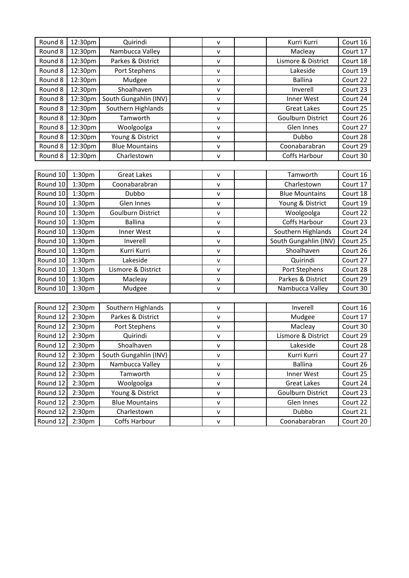| Round 8  | 12:30pm            | Quirindi                 | v            | Kurri Kurri              | Court 16 |
|----------|--------------------|--------------------------|--------------|--------------------------|----------|
| Round 8  | 12:30pm            | Nambucca Valley          | v            | Macleay                  | Court 17 |
| Round 8  | 12:30pm            | Parkes & District        | $\mathsf{v}$ | Lismore & District       | Court 18 |
| Round 8  | 12:30pm            | Port Stephens            | $\mathsf{v}$ | Lakeside                 | Court 19 |
| Round 8  | 12:30pm            | Mudgee                   | v            | <b>Ballina</b>           | Court 22 |
| Round 8  | 12:30pm            | Shoalhaven               | v            | Inverell                 | Court 23 |
| Round 8  | 12:30pm            | South Gungahlin (INV)    | v            | Inner West               | Court 24 |
| Round 8  | 12:30pm            | Southern Highlands       | v            | <b>Great Lakes</b>       | Court 25 |
| Round 8  | 12:30pm            | Tamworth                 | v            | <b>Goulburn District</b> | Court 26 |
| Round 8  | 12:30pm            | Woolgoolga               | $\mathsf{v}$ | Glen Innes               | Court 27 |
| Round 8  | 12:30pm            | Young & District         | v            | Dubbo                    | Court 28 |
| Round 8  | 12:30pm            | <b>Blue Mountains</b>    | v            | Coonabarabran            | Court 29 |
| Round 8  | 12:30pm            | Charlestown              | v            | Coffs Harbour            | Court 30 |
|          |                    |                          |              |                          |          |
| Round 10 | 1:30pm             | <b>Great Lakes</b>       | v            | Tamworth                 | Court 16 |
| Round 10 | 1:30pm             | Coonabarabran            | v            | Charlestown              | Court 17 |
| Round 10 | 1:30pm             | Dubbo                    | $\mathsf{v}$ | <b>Blue Mountains</b>    | Court 18 |
| Round 10 | 1:30pm             | Glen Innes               | v            | Young & District         | Court 19 |
| Round 10 | 1:30pm             | <b>Goulburn District</b> | v            | Woolgoolga               | Court 22 |
| Round 10 | 1:30pm             | <b>Ballina</b>           | $\mathsf{v}$ | Coffs Harbour            | Court 23 |
| Round 10 | 1:30 <sub>pm</sub> | Inner West               | v            | Southern Highlands       | Court 24 |
| Round 10 | 1:30pm             | Inverell                 | v            | South Gungahlin (INV)    | Court 25 |
| Round 10 | 1:30pm             | Kurri Kurri              | $\mathsf{v}$ | Shoalhaven               | Court 26 |
| Round 10 | 1:30pm             | Lakeside                 | $\mathsf{v}$ | Quirindi                 | Court 27 |
| Round 10 | 1:30pm             | Lismore & District       | v            | Port Stephens            | Court 28 |
| Round 10 | 1:30pm             | Macleay                  | v            | Parkes & District        | Court 29 |
| Round 10 | 1:30pm             | Mudgee                   | v            | Nambucca Valley          | Court 30 |
|          |                    |                          |              |                          |          |
| Round 12 | 2:30pm             | Southern Highlands       | v            | Inverell                 | Court 16 |
| Round 12 | 2:30pm             | Parkes & District        | $\mathsf{v}$ | Mudgee                   | Court 17 |
| Round 12 | 2:30pm             | Port Stephens            | $\mathsf{v}$ | Macleay                  | Court 30 |
| Round 12 | 2:30pm             | Quirindi                 | v            | Lismore & District       | Court 29 |
| Round 12 | 2:30 <sub>pm</sub> | Shoalhaven               | $\mathsf{v}$ | Lakeside                 | Court 28 |
| Round 12 | 2:30pm             | South Gungahlin (INV)    | v            | Kurri Kurri              | Court 27 |
| Round 12 | 2:30pm             | Nambucca Valley          | $\mathsf{v}$ | <b>Ballina</b>           | Court 26 |
| Round 12 | 2:30pm             | Tamworth                 | $\mathsf{V}$ | Inner West               | Court 25 |
| Round 12 | 2:30pm             | Woolgoolga               | v            | <b>Great Lakes</b>       | Court 24 |
| Round 12 | 2:30pm             | Young & District         | v            | <b>Goulburn District</b> | Court 23 |
| Round 12 | 2:30 <sub>pm</sub> | <b>Blue Mountains</b>    | $\mathsf{V}$ | Glen Innes               | Court 22 |
| Round 12 | 2:30pm             | Charlestown              | $\mathsf{V}$ | Dubbo                    | Court 21 |
| Round 12 | 2:30pm             | Coffs Harbour            | $\mathsf{V}$ | Coonabarabran            | Court 20 |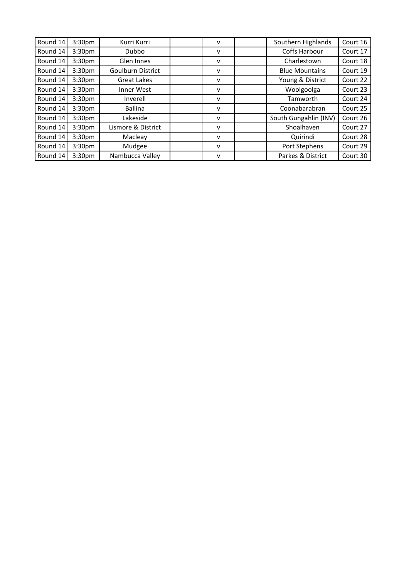| Round 14 | 3:30 <sub>pm</sub> | Kurri Kurri        | v | Southern Highlands    | Court 16 |
|----------|--------------------|--------------------|---|-----------------------|----------|
| Round 14 | 3:30 <sub>pm</sub> | <b>Dubbo</b>       | v | Coffs Harbour         | Court 17 |
| Round 14 | 3:30 <sub>pm</sub> | Glen Innes         | v | Charlestown           | Court 18 |
| Round 14 | 3:30 <sub>pm</sub> | Goulburn District  | v | <b>Blue Mountains</b> | Court 19 |
| Round 14 | 3:30 <sub>pm</sub> | Great Lakes        | v | Young & District      | Court 22 |
| Round 14 | 3:30 <sub>pm</sub> | Inner West         | v | Woolgoolga            | Court 23 |
| Round 14 | 3:30 <sub>pm</sub> | Inverell           | v | Tamworth              | Court 24 |
| Round 14 | 3:30 <sub>pm</sub> | <b>Ballina</b>     | v | Coonabarabran         | Court 25 |
| Round 14 | 3:30 <sub>pm</sub> | Lakeside           | v | South Gungahlin (INV) | Court 26 |
| Round 14 | 3:30 <sub>pm</sub> | Lismore & District | v | Shoalhaven            | Court 27 |
| Round 14 | 3:30 <sub>pm</sub> | Macleay            | v | Quirindi              | Court 28 |
| Round 14 | 3:30 <sub>pm</sub> | Mudgee             | v | Port Stephens         | Court 29 |
| Round 14 | 3:30 <sub>pm</sub> | Nambucca Valley    | v | Parkes & District     | Court 30 |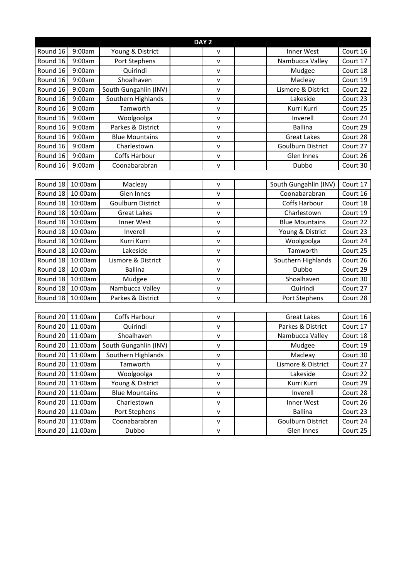| DAY <sub>2</sub> |         |                          |              |                          |          |
|------------------|---------|--------------------------|--------------|--------------------------|----------|
| Round 16         | 9:00am  | Young & District         | $\mathsf{v}$ | Inner West               | Court 16 |
| Round 16         | 9:00am  | Port Stephens            | v            | Nambucca Valley          | Court 17 |
| Round 16         | 9:00am  | Quirindi                 | ۷            | Mudgee                   | Court 18 |
| Round 16         | 9:00am  | Shoalhaven               | v            | Macleay                  | Court 19 |
| Round 16         | 9:00am  | South Gungahlin (INV)    | $\mathsf{v}$ | Lismore & District       | Court 22 |
| Round 16         | 9:00am  | Southern Highlands       | v            | Lakeside                 | Court 23 |
| Round 16         | 9:00am  | Tamworth                 | $\mathsf{v}$ | Kurri Kurri              | Court 25 |
| Round 16         | 9:00am  | Woolgoolga               | V            | Inverell                 | Court 24 |
| Round 16         | 9:00am  | Parkes & District        | $\mathsf{v}$ | <b>Ballina</b>           | Court 29 |
| Round 16         | 9:00am  | <b>Blue Mountains</b>    | $\mathsf{V}$ | <b>Great Lakes</b>       | Court 28 |
| Round 16         | 9:00am  | Charlestown              | v            | <b>Goulburn District</b> | Court 27 |
| Round 16         | 9:00am  | Coffs Harbour            | $\mathsf{v}$ | Glen Innes               | Court 26 |
| Round 16         | 9:00am  | Coonabarabran            | $\mathsf{v}$ | Dubbo                    | Court 30 |
|                  |         |                          |              |                          |          |
| Round 18         | 10:00am | Macleay                  | V            | South Gungahlin (INV)    | Court 17 |
| Round 18         | 10:00am | Glen Innes               | v            | Coonabarabran            | Court 16 |
| Round 18         | 10:00am | <b>Goulburn District</b> | $\mathsf{v}$ | Coffs Harbour            | Court 18 |
| Round 18         | 10:00am | <b>Great Lakes</b>       | $\mathsf{v}$ | Charlestown              | Court 19 |
| Round 18         | 10:00am | Inner West               | V            | <b>Blue Mountains</b>    | Court 22 |
| Round 18         | 10:00am | Inverell                 | v            | Young & District         | Court 23 |
| Round 18         | 10:00am | Kurri Kurri              | V            | Woolgoolga               | Court 24 |
| Round 18         | 10:00am | Lakeside                 | $\mathsf{V}$ | Tamworth                 | Court 25 |
| Round 18         | 10:00am | Lismore & District       | V            | Southern Highlands       | Court 26 |
| Round 18         | 10:00am | <b>Ballina</b>           | v            | Dubbo                    | Court 29 |
| Round 18         | 10:00am | Mudgee                   | $\mathsf{v}$ | Shoalhaven               | Court 30 |
| Round 18         | 10:00am | Nambucca Valley          | v            | Quirindi                 | Court 27 |
| Round 18         | 10:00am | Parkes & District        | $\mathsf{v}$ | Port Stephens            | Court 28 |
|                  |         |                          |              |                          |          |
| Round 20         | 11:00am | Coffs Harbour            | $\mathsf{v}$ | <b>Great Lakes</b>       | Court 16 |
| Round 20         | 11:00am | Quirindi                 | $\mathsf{V}$ | Parkes & District        | Court 17 |
| Round 20         | 11:00am | Shoalhaven               | v            | Nambucca Valley          | Court 18 |
| Round 20         | 11:00am | South Gungahlin (INV)    | ۷            | Mudgee                   | Court 19 |
| Round 20         | 11:00am | Southern Highlands       | v            | Macleay                  | Court 30 |
| Round 20         | 11:00am | Tamworth                 | v            | Lismore & District       | Court 27 |
| Round 20         | 11:00am | Woolgoolga               | $\mathsf{v}$ | Lakeside                 | Court 22 |
| Round 20         | 11:00am | Young & District         | v            | Kurri Kurri              | Court 29 |
| Round 20         | 11:00am | <b>Blue Mountains</b>    | $\mathsf{v}$ | Inverell                 | Court 28 |
| Round 20         | 11:00am | Charlestown              | v            | Inner West               | Court 26 |
| Round 20         | 11:00am | Port Stephens            | $\mathsf{v}$ | <b>Ballina</b>           | Court 23 |
| Round 20         | 11:00am | Coonabarabran            | $\mathsf{v}$ | Goulburn District        | Court 24 |
| Round 20         | 11:00am | Dubbo                    | $\mathsf{V}$ | Glen Innes               | Court 25 |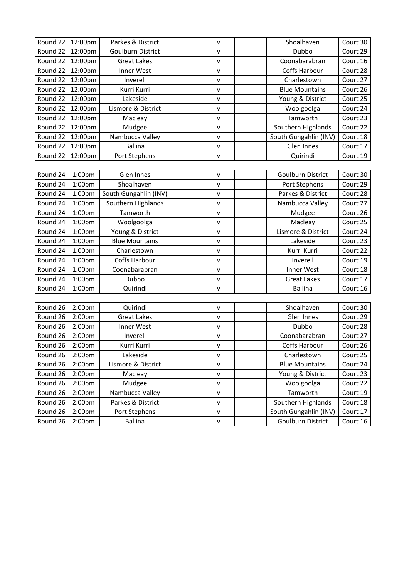| Round 22 | 12:00pm            | Parkes & District        | v                  | Shoalhaven               | Court 30 |
|----------|--------------------|--------------------------|--------------------|--------------------------|----------|
| Round 22 | 12:00pm            | <b>Goulburn District</b> | v                  | Dubbo                    | Court 29 |
| Round 22 | 12:00pm            | <b>Great Lakes</b>       | v                  | Coonabarabran            | Court 16 |
| Round 22 | 12:00pm            | Inner West               | $\mathsf{v}$       | Coffs Harbour            | Court 28 |
| Round 22 | 12:00pm            | Inverell                 | v                  | Charlestown              | Court 27 |
| Round 22 | 12:00pm            | Kurri Kurri              | v                  | <b>Blue Mountains</b>    | Court 26 |
| Round 22 | 12:00pm            | Lakeside                 | v                  | Young & District         | Court 25 |
| Round 22 | 12:00pm            | Lismore & District       | v                  | Woolgoolga               | Court 24 |
| Round 22 | 12:00pm            | Macleay                  | v                  | Tamworth                 | Court 23 |
| Round 22 | 12:00pm            | Mudgee                   | $\pmb{\mathsf{V}}$ | Southern Highlands       | Court 22 |
| Round 22 | 12:00pm            | Nambucca Valley          | v                  | South Gungahlin (INV)    | Court 18 |
| Round 22 | 12:00pm            | <b>Ballina</b>           | v                  | Glen Innes               | Court 17 |
| Round 22 | 12:00pm            | Port Stephens            | v                  | Quirindi                 | Court 19 |
|          |                    |                          |                    |                          |          |
| Round 24 | 1:00pm             | Glen Innes               | v                  | <b>Goulburn District</b> | Court 30 |
| Round 24 | 1:00pm             | Shoalhaven               | $\mathsf{v}$       | Port Stephens            | Court 29 |
| Round 24 | 1:00pm             | South Gungahlin (INV)    | v                  | Parkes & District        | Court 28 |
| Round 24 | 1:00pm             | Southern Highlands       | v                  | Nambucca Valley          | Court 27 |
| Round 24 | 1:00pm             | Tamworth                 | v                  | Mudgee                   | Court 26 |
| Round 24 | 1:00pm             | Woolgoolga               | $\mathsf{v}$       | Macleay                  | Court 25 |
| Round 24 | 1:00pm             | Young & District         | v                  | Lismore & District       | Court 24 |
| Round 24 | 1:00pm             | <b>Blue Mountains</b>    | v                  | Lakeside                 | Court 23 |
| Round 24 | 1:00pm             | Charlestown              | v                  | Kurri Kurri              | Court 22 |
| Round 24 | 1:00pm             | Coffs Harbour            | v                  | Inverell                 | Court 19 |
| Round 24 | 1:00 <sub>pm</sub> | Coonabarabran            | V                  | Inner West               | Court 18 |
| Round 24 | 1:00pm             | Dubbo                    | $\mathsf{v}$       | <b>Great Lakes</b>       | Court 17 |
| Round 24 | 1:00 <sub>pm</sub> | Quirindi                 | $\mathsf{v}$       | Ballina                  | Court 16 |
|          |                    |                          |                    |                          |          |
| Round 26 | 2:00pm             | Quirindi                 | $\mathsf{v}$       | Shoalhaven               | Court 30 |
| Round 26 | 2:00pm             | <b>Great Lakes</b>       | $\mathsf{v}$       | Glen Innes               | Court 29 |
| Round 26 | 2:00pm             | Inner West               | v                  | Dubbo                    | Court 28 |
| Round 26 | 2:00pm             | Inverell                 | v                  | Coonabarabran            | Court 27 |
| Round 26 | 2:00 <sub>pm</sub> | Kurri Kurri              | $\pmb{\mathsf{V}}$ | Coffs Harbour            | Court 26 |
| Round 26 | 2:00pm             | Lakeside                 | v                  | Charlestown              | Court 25 |
| Round 26 | 2:00pm             | Lismore & District       | $\pmb{\mathsf{V}}$ | <b>Blue Mountains</b>    | Court 24 |
| Round 26 | 2:00pm             | Macleay                  | $\mathsf{V}$       | Young & District         | Court 23 |
| Round 26 | 2:00pm             | Mudgee                   | $\mathsf{V}$       | Woolgoolga               | Court 22 |
| Round 26 | 2:00pm             | Nambucca Valley          | $\mathsf{v}$       | Tamworth                 | Court 19 |
| Round 26 | 2:00pm             | Parkes & District        | v                  | Southern Highlands       | Court 18 |
| Round 26 | 2:00pm             | Port Stephens            | v                  | South Gungahlin (INV)    | Court 17 |
| Round 26 | 2:00pm             | <b>Ballina</b>           | $\mathsf{V}$       | Goulburn District        | Court 16 |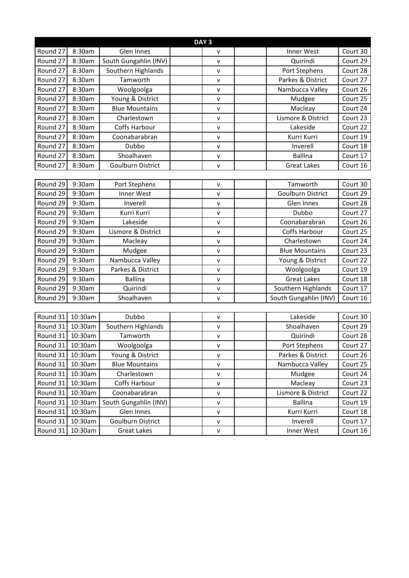| DAY <sub>3</sub> |         |                          |              |                          |          |
|------------------|---------|--------------------------|--------------|--------------------------|----------|
| Round 27         | 8:30am  | Glen Innes               | v            | Inner West               | Court 30 |
| Round 27         | 8:30am  | South Gungahlin (INV)    | v            | Quirindi                 | Court 29 |
| Round 27         | 8:30am  | Southern Highlands       | V            | Port Stephens            | Court 28 |
| Round 27         | 8:30am  | Tamworth                 | v            | Parkes & District        | Court 27 |
| Round 27         | 8:30am  | Woolgoolga               | v            | Nambucca Valley          | Court 26 |
| Round 27         | 8:30am  | Young & District         | v            | Mudgee                   | Court 25 |
| Round 27         | 8:30am  | <b>Blue Mountains</b>    | $\mathsf{v}$ | Macleay                  | Court 24 |
| Round 27         | 8:30am  | Charlestown              | ٧            | Lismore & District       | Court 23 |
| Round 27         | 8:30am  | Coffs Harbour            | ۷            | Lakeside                 | Court 22 |
| Round 27         | 8:30am  | Coonabarabran            | V            | Kurri Kurri              | Court 19 |
| Round 27         | 8:30am  | Dubbo                    | v            | Inverell                 | Court 18 |
| Round 27         | 8:30am  | Shoalhaven               | V            | <b>Ballina</b>           | Court 17 |
| Round 27         | 8:30am  | <b>Goulburn District</b> | V            | <b>Great Lakes</b>       | Court 16 |
|                  |         |                          |              |                          |          |
| Round 29         | 9:30am  | Port Stephens            | v            | Tamworth                 | Court 30 |
| Round 29         | 9:30am  | Inner West               | ۷            | <b>Goulburn District</b> | Court 29 |
| Round 29         | 9:30am  | Inverell                 | $\mathsf{v}$ | Glen Innes               | Court 28 |
| Round 29         | 9:30am  | Kurri Kurri              | V            | Dubbo                    | Court 27 |
| Round 29         | 9:30am  | Lakeside                 | v            | Coonabarabran            | Court 26 |
| Round 29         | 9:30am  | Lismore & District       | v            | Coffs Harbour            | Court 25 |
| Round 29         | 9:30am  | Macleay                  | V            | Charlestown              | Court 24 |
| Round 29         | 9:30am  | Mudgee                   | $\mathsf{v}$ | <b>Blue Mountains</b>    | Court 23 |
| Round 29         | 9:30am  | Nambucca Valley          | V            | Young & District         | Court 22 |
| Round 29         | 9:30am  | Parkes & District        | v            | Woolgoolga               | Court 19 |
| Round 29         | 9:30am  | <b>Ballina</b>           | $\mathsf{v}$ | <b>Great Lakes</b>       | Court 18 |
| Round 29         | 9:30am  | Quirindi                 | v            | Southern Highlands       | Court 17 |
| Round 29         | 9:30am  | Shoalhaven               | V            | South Gungahlin (INV)    | Court 16 |
|                  |         |                          |              |                          |          |
| Round 31         | 10:30am | Dubbo                    | ۷            | Lakeside                 | Court 30 |
| Round 31         | 10:30am | Southern Highlands       | $\mathsf{v}$ | Shoalhaven               | Court 29 |
| Round 31         | 10:30am | Tamworth                 | $\mathsf{v}$ | Quirindi                 | Court 28 |
| Round 31         | 10:30am | Woolgoolga               | ۷            | Port Stephens            | Court 27 |
| Round 31         | 10:30am | Young & District         | v            | Parkes & District        | Court 26 |
| Round 31         | 10:30am | <b>Blue Mountains</b>    | v            | Nambucca Valley          | Court 25 |
| Round 31         | 10:30am | Charlestown              | v            | Mudgee                   | Court 24 |
| Round 31         | 10:30am | Coffs Harbour            | v            | Macleay                  | Court 23 |
| Round 31         | 10:30am | Coonabarabran            | $\mathsf{v}$ | Lismore & District       | Court 22 |
| Round 31         | 10:30am | South Gungahlin (INV)    | v            | <b>Ballina</b>           | Court 19 |
| Round 31         | 10:30am | Glen Innes               | v            | Kurri Kurri              | Court 18 |
| Round 31         | 10:30am | Goulburn District        | v            | Inverell                 | Court 17 |
| Round 31         | 10:30am | <b>Great Lakes</b>       | $\mathsf{v}$ | Inner West               | Court 16 |